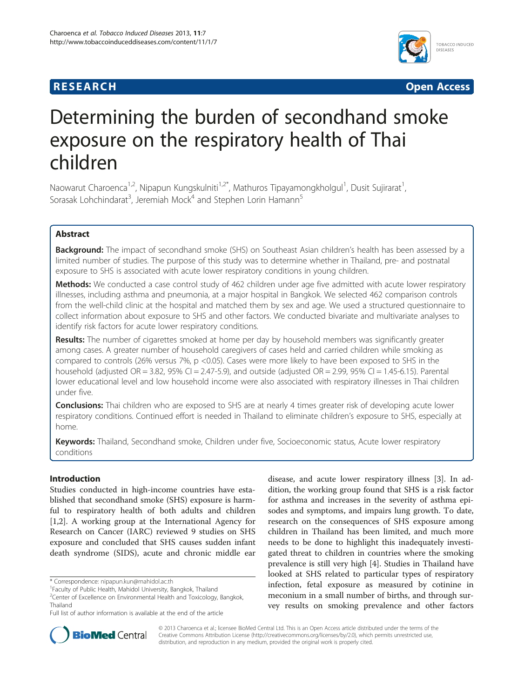## **RESEARCH RESEARCH** *CHECKER CHECKER CHECKER CHECKER CHECKER CHECKER CHECKER CHECKER CHECKER CHECKER CHECKER*



# Determining the burden of secondhand smoke exposure on the respiratory health of Thai children

Naowarut Charoenca<sup>1,2</sup>, Nipapun Kungskulniti<sup>1,2\*</sup>, Mathuros Tipayamongkholgul<sup>1</sup>, Dusit Sujirarat<sup>1</sup> , Sorasak Lohchindarat<sup>3</sup>, Jeremiah Mock<sup>4</sup> and Stephen Lorin Hamann<sup>5</sup>

## Abstract

**Background:** The impact of secondhand smoke (SHS) on Southeast Asian children's health has been assessed by a limited number of studies. The purpose of this study was to determine whether in Thailand, pre- and postnatal exposure to SHS is associated with acute lower respiratory conditions in young children.

Methods: We conducted a case control study of 462 children under age five admitted with acute lower respiratory illnesses, including asthma and pneumonia, at a major hospital in Bangkok. We selected 462 comparison controls from the well-child clinic at the hospital and matched them by sex and age. We used a structured questionnaire to collect information about exposure to SHS and other factors. We conducted bivariate and multivariate analyses to identify risk factors for acute lower respiratory conditions.

**Results:** The number of cigarettes smoked at home per day by household members was significantly greater among cases. A greater number of household caregivers of cases held and carried children while smoking as compared to controls (26% versus 7%, p <0.05). Cases were more likely to have been exposed to SHS in the household (adjusted OR = 3.82, 95% CI = 2.47-5.9), and outside (adjusted OR = 2.99, 95% CI = 1.45-6.15). Parental lower educational level and low household income were also associated with respiratory illnesses in Thai children under five.

**Conclusions:** Thai children who are exposed to SHS are at nearly 4 times greater risk of developing acute lower respiratory conditions. Continued effort is needed in Thailand to eliminate children's exposure to SHS, especially at home.

Keywords: Thailand, Secondhand smoke, Children under five, Socioeconomic status, Acute lower respiratory conditions

## Introduction

Studies conducted in high-income countries have established that secondhand smoke (SHS) exposure is harmful to respiratory health of both adults and children [[1,2\]](#page-4-0). A working group at the International Agency for Research on Cancer (IARC) reviewed 9 studies on SHS exposure and concluded that SHS causes sudden infant death syndrome (SIDS), acute and chronic middle ear

\* Correspondence: [nipapun.kun@mahidol.ac.th](mailto:nipapun.kun@mahidol.ac.th) <sup>1</sup>

disease, and acute lower respiratory illness [[3\]](#page-4-0). In addition, the working group found that SHS is a risk factor for asthma and increases in the severity of asthma episodes and symptoms, and impairs lung growth. To date, research on the consequences of SHS exposure among children in Thailand has been limited, and much more needs to be done to highlight this inadequately investigated threat to children in countries where the smoking prevalence is still very high [\[4](#page-4-0)]. Studies in Thailand have looked at SHS related to particular types of respiratory infection, fetal exposure as measured by cotinine in meconium in a small number of births, and through survey results on smoking prevalence and other factors



© 2013 Charoenca et al.; licensee BioMed Central Ltd. This is an Open Access article distributed under the terms of the Creative Commons Attribution License (<http://creativecommons.org/licenses/by/2.0>), which permits unrestricted use, distribution, and reproduction in any medium, provided the original work is properly cited.

<sup>&</sup>lt;sup>1</sup>Faculty of Public Health, Mahidol University, Bangkok, Thailand

<sup>&</sup>lt;sup>2</sup> Center of Excellence on Environmental Health and Toxicology, Bangkok, Thailand

Full list of author information is available at the end of the article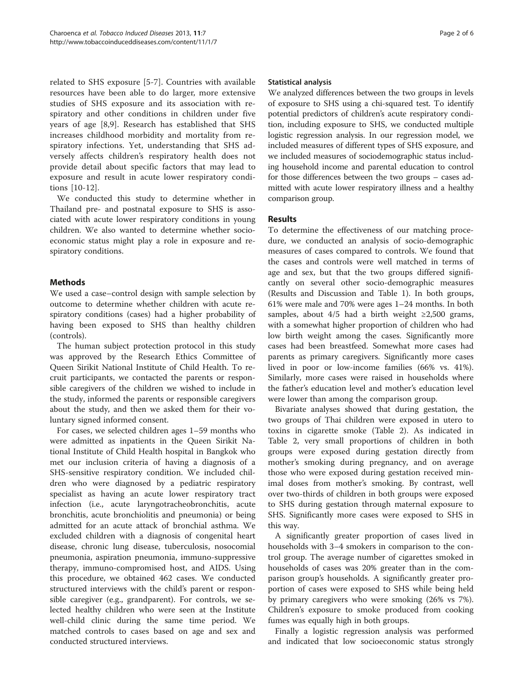related to SHS exposure [\[5](#page-4-0)-[7\]](#page-4-0). Countries with available resources have been able to do larger, more extensive studies of SHS exposure and its association with respiratory and other conditions in children under five years of age [[8,9\]](#page-5-0). Research has established that SHS increases childhood morbidity and mortality from respiratory infections. Yet, understanding that SHS adversely affects children's respiratory health does not provide detail about specific factors that may lead to exposure and result in acute lower respiratory conditions [[10-12\]](#page-5-0).

We conducted this study to determine whether in Thailand pre- and postnatal exposure to SHS is associated with acute lower respiratory conditions in young children. We also wanted to determine whether socioeconomic status might play a role in exposure and respiratory conditions.

## Methods

We used a case–control design with sample selection by outcome to determine whether children with acute respiratory conditions (cases) had a higher probability of having been exposed to SHS than healthy children (controls).

The human subject protection protocol in this study was approved by the Research Ethics Committee of Queen Sirikit National Institute of Child Health. To recruit participants, we contacted the parents or responsible caregivers of the children we wished to include in the study, informed the parents or responsible caregivers about the study, and then we asked them for their voluntary signed informed consent.

For cases, we selected children ages 1–59 months who were admitted as inpatients in the Queen Sirikit National Institute of Child Health hospital in Bangkok who met our inclusion criteria of having a diagnosis of a SHS-sensitive respiratory condition. We included children who were diagnosed by a pediatric respiratory specialist as having an acute lower respiratory tract infection (i.e., acute laryngotracheobronchitis, acute bronchitis, acute bronchiolitis and pneumonia) or being admitted for an acute attack of bronchial asthma. We excluded children with a diagnosis of congenital heart disease, chronic lung disease, tuberculosis, nosocomial pneumonia, aspiration pneumonia, immuno-suppressive therapy, immuno-compromised host, and AIDS. Using this procedure, we obtained 462 cases. We conducted structured interviews with the child's parent or responsible caregiver (e.g., grandparent). For controls, we selected healthy children who were seen at the Institute well-child clinic during the same time period. We matched controls to cases based on age and sex and conducted structured interviews.

#### Statistical analysis

We analyzed differences between the two groups in levels of exposure to SHS using a chi-squared test. To identify potential predictors of children's acute respiratory condition, including exposure to SHS, we conducted multiple logistic regression analysis. In our regression model, we included measures of different types of SHS exposure, and we included measures of sociodemographic status including household income and parental education to control for those differences between the two groups – cases admitted with acute lower respiratory illness and a healthy comparison group.

## Results

To determine the effectiveness of our matching procedure, we conducted an analysis of socio-demographic measures of cases compared to controls. We found that the cases and controls were well matched in terms of age and sex, but that the two groups differed significantly on several other socio-demographic measures (Results and [Discussion](#page-2-0) and Table [1\)](#page-2-0). In both groups, 61% were male and 70% were ages 1–24 months. In both samples, about  $4/5$  had a birth weight ≥2,500 grams, with a somewhat higher proportion of children who had low birth weight among the cases. Significantly more cases had been breastfeed. Somewhat more cases had parents as primary caregivers. Significantly more cases lived in poor or low-income families (66% vs. 41%). Similarly, more cases were raised in households where the father's education level and mother's education level were lower than among the comparison group.

Bivariate analyses showed that during gestation, the two groups of Thai children were exposed in utero to toxins in cigarette smoke (Table [2](#page-2-0)). As indicated in Table [2,](#page-2-0) very small proportions of children in both groups were exposed during gestation directly from mother's smoking during pregnancy, and on average those who were exposed during gestation received minimal doses from mother's smoking. By contrast, well over two-thirds of children in both groups were exposed to SHS during gestation through maternal exposure to SHS. Significantly more cases were exposed to SHS in this way.

A significantly greater proportion of cases lived in households with 3–4 smokers in comparison to the control group. The average number of cigarettes smoked in households of cases was 20% greater than in the comparison group's households. A significantly greater proportion of cases were exposed to SHS while being held by primary caregivers who were smoking (26% vs 7%). Children's exposure to smoke produced from cooking fumes was equally high in both groups.

Finally a logistic regression analysis was performed and indicated that low socioeconomic status strongly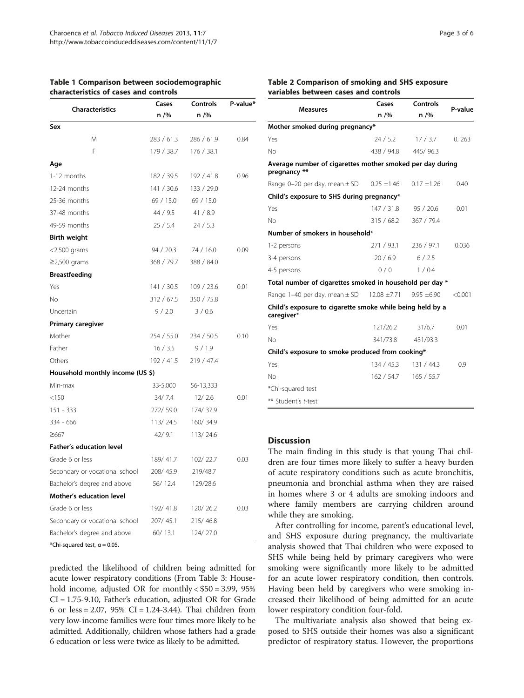|                                  | Cases      | Controls   | P-value* |  |
|----------------------------------|------------|------------|----------|--|
| <b>Characteristics</b>           | n /%       | $n$ /%     |          |  |
| Sex                              |            |            |          |  |
| M                                | 283 / 61.3 | 286 / 61.9 | 0.84     |  |
| F                                | 179 / 38.7 | 176 / 38.1 |          |  |
| Age                              |            |            |          |  |
| 1-12 months                      | 182 / 39.5 | 192 / 41.8 | 0.96     |  |
| 12-24 months                     | 141 / 30.6 | 133 / 29.0 |          |  |
| 25-36 months                     | 69 / 15.0  | 69 / 15.0  |          |  |
| 37-48 months                     | 44 / 9.5   | 41 / 8.9   |          |  |
| 49-59 months                     | 25/5.4     | 24/5.3     |          |  |
| Birth weight                     |            |            |          |  |
| $<$ 2,500 grams                  | 94 / 20.3  | 74 / 16.0  | 0.09     |  |
| $≥2,500$ grams                   | 368 / 79.7 | 388 / 84.0 |          |  |
| <b>Breastfeeding</b>             |            |            |          |  |
| Yes                              | 141 / 30.5 | 109 / 23.6 | 0.01     |  |
| No                               | 312/67.5   | 350 / 75.8 |          |  |
| Uncertain                        | 9/2.0      | 3/0.6      |          |  |
| Primary caregiver                |            |            |          |  |
| Mother                           | 254 / 55.0 | 234 / 50.5 | 0.10     |  |
| Father                           | 16/3.5     | 9/1.9      |          |  |
| Others                           | 192 / 41.5 | 219 / 47.4 |          |  |
| Household monthly income (US \$) |            |            |          |  |
| Min-max                          | 33-5,000   | 56-13,333  |          |  |
| < 150                            | 34/7.4     | 12/2.6     | 0.01     |  |
| 151 - 333                        | 272/59.0   | 174/37.9   |          |  |
| 334 - 666                        | 113/24.5   | 160/34.9   |          |  |
| $\geq 667$                       | 42/9.1     | 113/24.6   |          |  |
| <b>Father's education level</b>  |            |            |          |  |
| Grade 6 or less                  | 189/41.7   | 102/22.7   | 0.03     |  |
| Secondary or vocational school   | 208/45.9   | 219/48.7   |          |  |
| Bachelor's degree and above      | 56/12.4    | 129/28.6   |          |  |
| <b>Mother's education level</b>  |            |            |          |  |
| Grade 6 or less                  | 192/41.8   | 120/26.2   | 0.03     |  |
| Secondary or vocational school   | 207/45.1   | 215/46.8   |          |  |
| Bachelor's degree and above      | 60/13.1    | 124/27.0   |          |  |

<span id="page-2-0"></span>Table 1 Comparison between sociodemographic characteristics of cases and controls

\*Chi-squared test,  $\alpha$  = 0.05.

predicted the likelihood of children being admitted for acute lower respiratory conditions (From Table [3:](#page-3-0) Household income, adjusted OR for monthly < \$50 = 3.99, 95% CI = 1.75-9.10, Father's education, adjusted OR for Grade 6 or less = 2.07, 95% CI = 1.24-3.44). Thai children from very low-income families were four times more likely to be admitted. Additionally, children whose fathers had a grade 6 education or less were twice as likely to be admitted.

#### Table 2 Comparison of smoking and SHS exposure variables between cases and controls

|                                                                           | Cases            | Controls      |         |
|---------------------------------------------------------------------------|------------------|---------------|---------|
| Measures                                                                  | $n$ /%           | $n$ /%        | P-value |
| Mother smoked during pregnancy*                                           |                  |               |         |
| Yes                                                                       | 24/5.2           | 17/3.7        | 0.263   |
| No                                                                        | 438 / 94.8       | 445/96.3      |         |
| Average number of cigarettes mother smoked per day during<br>pregnancy ** |                  |               |         |
| Range 0–20 per day, mean $\pm$ SD                                         | $0.25 \pm 1.46$  | $0.17 + 1.26$ | 0.40    |
| Child's exposure to SHS during pregnancy*                                 |                  |               |         |
| Yes                                                                       | 147 / 31.8       | 95/20.6       | 0.01    |
| No                                                                        | 315/68.2         | 367 / 79.4    |         |
| Number of smokers in household*                                           |                  |               |         |
| 1-2 persons                                                               | 271 / 93.1       | 236 / 97.1    | 0.036   |
| 3-4 persons                                                               | 20/6.9           | 6/2.5         |         |
| 4-5 persons                                                               | 0/0              | 1/0.4         |         |
| Total number of cigarettes smoked in household per day *                  |                  |               |         |
| Range 1–40 per day, mean $\pm$ SD                                         | $12.08 \pm 7.71$ | $9.95 + 6.90$ | < 0.001 |
| Child's exposure to cigarette smoke while being held by a<br>caregiver*   |                  |               |         |
| Yes                                                                       | 121/26.2         | 31/6.7        | 0.01    |
| No                                                                        | 341/73.8         | 431/93.3      |         |
| Child's exposure to smoke produced from cooking*                          |                  |               |         |
| Yes                                                                       | 134 / 45.3       | 131 / 44.3    | 0.9     |
| No                                                                        | 162 / 54.7       | 165/55.7      |         |
| *Chi-squared test                                                         |                  |               |         |
| ** Student's t-test                                                       |                  |               |         |
|                                                                           |                  |               |         |

## **Discussion**

The main finding in this study is that young Thai children are four times more likely to suffer a heavy burden of acute respiratory conditions such as acute bronchitis, pneumonia and bronchial asthma when they are raised in homes where 3 or 4 adults are smoking indoors and where family members are carrying children around while they are smoking.

After controlling for income, parent's educational level, and SHS exposure during pregnancy, the multivariate analysis showed that Thai children who were exposed to SHS while being held by primary caregivers who were smoking were significantly more likely to be admitted for an acute lower respiratory condition, then controls. Having been held by caregivers who were smoking increased their likelihood of being admitted for an acute lower respiratory condition four-fold.

The multivariate analysis also showed that being exposed to SHS outside their homes was also a significant predictor of respiratory status. However, the proportions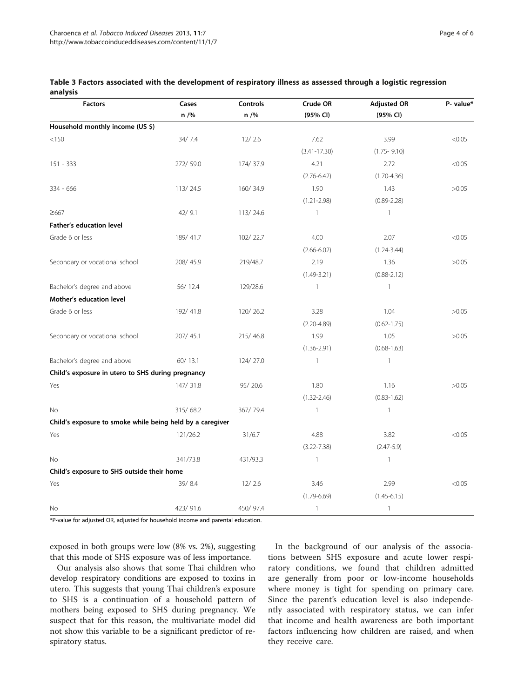| <b>Factors</b>                                            | Cases    | Controls | Crude OR         | <b>Adjusted OR</b> | P- value* |
|-----------------------------------------------------------|----------|----------|------------------|--------------------|-----------|
|                                                           | n /%     | n /%     | (95% CI)         | (95% CI)           |           |
| Household monthly income (US \$)                          |          |          |                  |                    |           |
| < 150                                                     | 34/7.4   | 12/2.6   | 7.62             | 3.99               | < 0.05    |
|                                                           |          |          | $(3.41 - 17.30)$ | $(1.75 - 9.10)$    |           |
| 151 - 333                                                 | 272/59.0 | 174/37.9 | 4.21             | 2.72               | < 0.05    |
|                                                           |          |          | $(2.76 - 6.42)$  | $(1.70 - 4.36)$    |           |
| 334 - 666                                                 | 113/24.5 | 160/34.9 | 1.90             | 1.43               | >0.05     |
|                                                           |          |          | $(1.21 - 2.98)$  | $(0.89 - 2.28)$    |           |
| ≥667                                                      | 42/ 9.1  | 113/24.6 | $\mathbf{1}$     | $\mathbf{1}$       |           |
| <b>Father's education level</b>                           |          |          |                  |                    |           |
| Grade 6 or less                                           | 189/41.7 | 102/22.7 | 4.00             | 2.07               | < 0.05    |
|                                                           |          |          | $(2.66 - 6.02)$  | $(1.24 - 3.44)$    |           |
| Secondary or vocational school                            | 208/45.9 | 219/48.7 | 2.19             | 1.36               | >0.05     |
|                                                           |          |          | $(1.49 - 3.21)$  | $(0.88 - 2.12)$    |           |
| Bachelor's degree and above                               | 56/12.4  | 129/28.6 | $\mathbf{1}$     | $\mathbf{1}$       |           |
| Mother's education level                                  |          |          |                  |                    |           |
| Grade 6 or less                                           | 192/41.8 | 120/26.2 | 3.28             | 1.04               | >0.05     |
|                                                           |          |          | $(2.20 - 4.89)$  | $(0.62 - 1.75)$    |           |
| Secondary or vocational school                            | 207/45.1 | 215/46.8 | 1.99             | 1.05               | >0.05     |
|                                                           |          |          | $(1.36 - 2.91)$  | $(0.68 - 1.63)$    |           |
| Bachelor's degree and above                               | 60/13.1  | 124/27.0 | 1                | $\overline{1}$     |           |
| Child's exposure in utero to SHS during pregnancy         |          |          |                  |                    |           |
| Yes                                                       | 147/31.8 | 95/20.6  | 1.80             | 1.16               | >0.05     |
|                                                           |          |          | $(1.32 - 2.46)$  | $(0.83 - 1.62)$    |           |
| No                                                        | 315/68.2 | 367/79.4 | $\mathbf{1}$     | $\mathbf{1}$       |           |
| Child's exposure to smoke while being held by a caregiver |          |          |                  |                    |           |
| Yes                                                       | 121/26.2 | 31/6.7   | 4.88             | 3.82               | < 0.05    |
|                                                           |          |          | $(3.22 - 7.38)$  | $(2.47 - 5.9)$     |           |
| No                                                        | 341/73.8 | 431/93.3 | $\mathbf{1}$     | $\overline{1}$     |           |
| Child's exposure to SHS outside their home                |          |          |                  |                    |           |
| Yes                                                       | 39/8.4   | 12/2.6   | 3.46             | 2.99               | < 0.05    |
|                                                           |          |          | $(1.79 - 6.69)$  | $(1.45 - 6.15)$    |           |
| No                                                        | 423/91.6 | 450/97.4 | $\mathbf{1}$     | $\mathbf{1}$       |           |

<span id="page-3-0"></span>

| Table 3 Factors associated with the development of respiratory illness as assessed through a logistic regression |  |  |  |
|------------------------------------------------------------------------------------------------------------------|--|--|--|
| analysis                                                                                                         |  |  |  |

\*P-value for adjusted OR, adjusted for household income and parental education.

exposed in both groups were low (8% vs. 2%), suggesting that this mode of SHS exposure was of less importance.

Our analysis also shows that some Thai children who develop respiratory conditions are exposed to toxins in utero. This suggests that young Thai children's exposure to SHS is a continuation of a household pattern of mothers being exposed to SHS during pregnancy. We suspect that for this reason, the multivariate model did not show this variable to be a significant predictor of respiratory status.

In the background of our analysis of the associations between SHS exposure and acute lower respiratory conditions, we found that children admitted are generally from poor or low-income households where money is tight for spending on primary care. Since the parent's education level is also independently associated with respiratory status, we can infer that income and health awareness are both important factors influencing how children are raised, and when they receive care.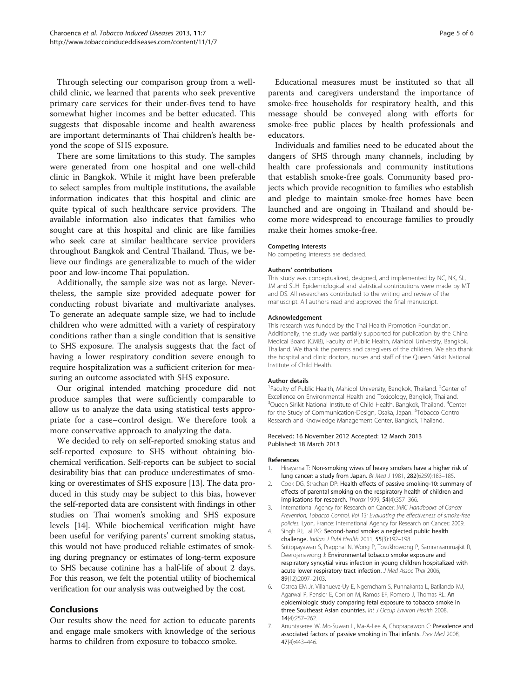<span id="page-4-0"></span>Through selecting our comparison group from a wellchild clinic, we learned that parents who seek preventive primary care services for their under-fives tend to have somewhat higher incomes and be better educated. This suggests that disposable income and health awareness are important determinants of Thai children's health beyond the scope of SHS exposure.

There are some limitations to this study. The samples were generated from one hospital and one well-child clinic in Bangkok. While it might have been preferable to select samples from multiple institutions, the available information indicates that this hospital and clinic are quite typical of such healthcare service providers. The available information also indicates that families who sought care at this hospital and clinic are like families who seek care at similar healthcare service providers throughout Bangkok and Central Thailand. Thus, we believe our findings are generalizable to much of the wider poor and low-income Thai population.

Additionally, the sample size was not as large. Nevertheless, the sample size provided adequate power for conducting robust bivariate and multivariate analyses. To generate an adequate sample size, we had to include children who were admitted with a variety of respiratory conditions rather than a single condition that is sensitive to SHS exposure. The analysis suggests that the fact of having a lower respiratory condition severe enough to require hospitalization was a sufficient criterion for measuring an outcome associated with SHS exposure.

Our original intended matching procedure did not produce samples that were sufficiently comparable to allow us to analyze the data using statistical tests appropriate for a case–control design. We therefore took a more conservative approach to analyzing the data.

We decided to rely on self-reported smoking status and self-reported exposure to SHS without obtaining biochemical verification. Self-reports can be subject to social desirability bias that can produce underestimates of smoking or overestimates of SHS exposure [[13](#page-5-0)]. The data produced in this study may be subject to this bias, however the self-reported data are consistent with findings in other studies on Thai women's smoking and SHS exposure levels [\[14](#page-5-0)]. While biochemical verification might have been useful for verifying parents' current smoking status, this would not have produced reliable estimates of smoking during pregnancy or estimates of long-term exposure to SHS because cotinine has a half-life of about 2 days. For this reason, we felt the potential utility of biochemical verification for our analysis was outweighed by the cost.

## Conclusions

Our results show the need for action to educate parents and engage male smokers with knowledge of the serious harms to children from exposure to tobacco smoke.

Educational measures must be instituted so that all parents and caregivers understand the importance of smoke-free households for respiratory health, and this message should be conveyed along with efforts for smoke-free public places by health professionals and educators.

Individuals and families need to be educated about the dangers of SHS through many channels, including by health care professionals and community institutions that establish smoke-free goals. Community based projects which provide recognition to families who establish and pledge to maintain smoke-free homes have been launched and are ongoing in Thailand and should become more widespread to encourage families to proudly make their homes smoke-free.

#### Competing interests

No competing interests are declared.

#### Authors' contributions

This study was conceptualized, designed, and implemented by NC, NK, SL, JM and SLH. Epidemiological and statistical contributions were made by MT and DS. All researchers contributed to the writing and review of the manuscript. All authors read and approved the final manuscript.

#### Acknowledgement

This research was funded by the Thai Health Promotion Foundation. Additionally, the study was partially supported for publication by the China Medical Board (CMB), Faculty of Public Health, Mahidol University, Bangkok, Thailand. We thank the parents and caregivers of the children. We also thank the hospital and clinic doctors, nurses and staff of the Queen Sirikit National Institute of Child Health.

#### Author details

<sup>1</sup> Faculty of Public Health, Mahidol University, Bangkok, Thailand. <sup>2</sup> Center of Excellence on Environmental Health and Toxicology, Bangkok, Thailand. <sup>3</sup>Queen Sirikit National Institute of Child Health, Bangkok, Thailand. <sup>4</sup>Center for the Study of Communication-Design, Osaka, Japan. <sup>5</sup>Tobacco Control Research and Knowledge Management Center, Bangkok, Thailand.

#### Received: 16 November 2012 Accepted: 12 March 2013 Published: 18 March 2013

#### References

- 1. Hirayama T: Non-smoking wives of heavy smokers have a higher risk of lung cancer: a study from Japan. Br Med J 1981, 282(6259):183–185.
- 2. Cook DG, Strachan DP: Health effects of passive smoking-10: summary of effects of parental smoking on the respiratory health of children and implications for research. Thorax 1999, 54(4):357–366.
- 3. International Agency for Research on Cancer: IARC Handbooks of Cancer Prevention, Tobacco Control, Vol 13: Evaluating the effectiveness of smoke-free policies. Lyon, France: International Agency for Research on Cancer; 2009.
- 4. Singh RJ, Lal PG: Second-hand smoke: a neglected public health challenge. Indian J Publ Health 2011, 55(3):192–198.
- 5. Sritippayawan S, Prapphal N, Wong P, Tosukhowong P, Samransamruajkit R, Deerojanawong J: Environmental tobacco smoke exposure and respiratory syncytial virus infection in young children hospitalized with acute lower respiratory tract infection. J Med Assoc Thai 2006, 89(12):2097–2103.
- 6. Ostrea EM Jr, Villanueva-Uy E, Ngerncham S, Punnakanta L, Batilando MJ, Agarwal P, Pensler E, Corrion M, Ramos EF, Romero J, Thomas RL: An epidemiologic study comparing fetal exposure to tobacco smoke in three Southeast Asian countries. Int J Occup Environ Health 2008, 14(4):257–262.
- 7. Anuntaseree W, Mo-Suwan L, Ma-A-Lee A, Choprapawon C: Prevalence and associated factors of passive smoking in Thai infants. Prev Med 2008, 47(4):443–446.